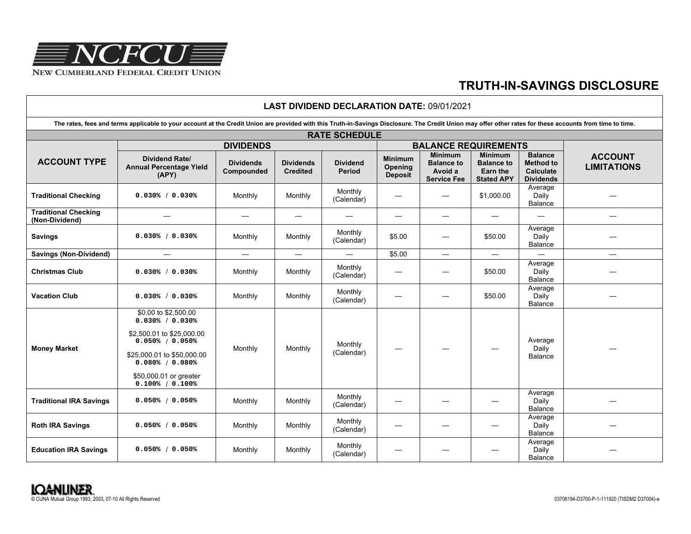

 $\Gamma$ 

## **TRUTH-IN-SAVINGS DISCLOSURE**

| <b>LAST DIVIDEND DECLARATION DATE: 09/01/2021</b>                                                                                                                                                         |                                                                                                                                                                                                   |                                |                                     |                                  |                                             |                                                                      |                                                                             |                                                                            |                                      |
|-----------------------------------------------------------------------------------------------------------------------------------------------------------------------------------------------------------|---------------------------------------------------------------------------------------------------------------------------------------------------------------------------------------------------|--------------------------------|-------------------------------------|----------------------------------|---------------------------------------------|----------------------------------------------------------------------|-----------------------------------------------------------------------------|----------------------------------------------------------------------------|--------------------------------------|
| The rates, fees and terms applicable to your account at the Credit Union are provided with this Truth-in-Savings Disclosure. The Credit Union may offer other rates for these accounts from time to time. |                                                                                                                                                                                                   |                                |                                     |                                  |                                             |                                                                      |                                                                             |                                                                            |                                      |
| <b>RATE SCHEDULE</b>                                                                                                                                                                                      |                                                                                                                                                                                                   |                                |                                     |                                  |                                             |                                                                      |                                                                             |                                                                            |                                      |
| <b>ACCOUNT TYPE</b>                                                                                                                                                                                       | <b>DIVIDENDS</b>                                                                                                                                                                                  |                                |                                     |                                  | <b>BALANCE REQUIREMENTS</b>                 |                                                                      |                                                                             |                                                                            |                                      |
|                                                                                                                                                                                                           | <b>Dividend Rate/</b><br><b>Annual Percentage Yield</b><br>(APY)                                                                                                                                  | <b>Dividends</b><br>Compounded | <b>Dividends</b><br><b>Credited</b> | <b>Dividend</b><br><b>Period</b> | <b>Minimum</b><br>Opening<br><b>Deposit</b> | <b>Minimum</b><br><b>Balance to</b><br>Avoid a<br><b>Service Fee</b> | <b>Minimum</b><br><b>Balance to</b><br><b>Earn the</b><br><b>Stated APY</b> | <b>Balance</b><br><b>Method to</b><br><b>Calculate</b><br><b>Dividends</b> | <b>ACCOUNT</b><br><b>LIMITATIONS</b> |
| <b>Traditional Checking</b>                                                                                                                                                                               | 0.030% / 0.030%                                                                                                                                                                                   | Monthly                        | Monthly                             | Monthly<br>(Calendar)            |                                             | $\overline{\phantom{0}}$                                             | \$1,000.00                                                                  | Average<br>Daily<br>Balance                                                |                                      |
| <b>Traditional Checking</b><br>(Non-Dividend)                                                                                                                                                             |                                                                                                                                                                                                   |                                |                                     |                                  |                                             |                                                                      | $\overline{\phantom{0}}$                                                    |                                                                            |                                      |
| <b>Savings</b>                                                                                                                                                                                            | $0.030%$ / $0.030%$                                                                                                                                                                               | Monthly                        | Monthly                             | Monthly<br>(Calendar)            | \$5.00                                      |                                                                      | \$50.00                                                                     | Average<br>Daily<br>Balance                                                |                                      |
| <b>Savings (Non-Dividend)</b>                                                                                                                                                                             | $\overline{\phantom{m}}$                                                                                                                                                                          |                                | $\overbrace{\phantom{12322111}}$    |                                  | \$5.00                                      | $\overbrace{\phantom{12322111}}$                                     | $\overline{\phantom{0}}$                                                    |                                                                            | $\overline{\phantom{0}}$             |
| <b>Christmas Club</b>                                                                                                                                                                                     | 0.030% / 0.030%                                                                                                                                                                                   | Monthly                        | Monthly                             | Monthly<br>(Calendar)            |                                             | $\overbrace{\phantom{13333}}$                                        | \$50.00                                                                     | Average<br>Daily<br>Balance                                                |                                      |
| <b>Vacation Club</b>                                                                                                                                                                                      | 0.030% / 0.030%                                                                                                                                                                                   | Monthly                        | Monthly                             | Monthly<br>(Calendar)            |                                             | $\overbrace{\phantom{aaaaa}}$                                        | \$50.00                                                                     | Average<br>Daily<br>Balance                                                |                                      |
| <b>Money Market</b>                                                                                                                                                                                       | \$0.00 to \$2,500.00<br>0.030% / 0.030%<br>\$2,500.01 to \$25,000.00<br>$0.050%$ / $0.050%$<br>\$25,000.01 to \$50,000.00<br>$0.080%$ / $0.080%$<br>\$50,000.01 or greater<br>$0.100%$ / $0.100%$ | Monthly                        | Monthly                             | Monthly<br>(Calendar)            |                                             |                                                                      |                                                                             | Average<br>Daily<br>Balance                                                |                                      |
| <b>Traditional IRA Savings</b>                                                                                                                                                                            | $0.050%$ / $0.050%$                                                                                                                                                                               | Monthly                        | Monthly                             | Monthly<br>(Calendar)            |                                             |                                                                      |                                                                             | Average<br>Daily<br>Balance                                                |                                      |
| <b>Roth IRA Savings</b>                                                                                                                                                                                   | 0.050% / 0.050%                                                                                                                                                                                   | Monthly                        | Monthly                             | Monthly<br>(Calendar)            |                                             |                                                                      |                                                                             | Average<br>Daily<br><b>Balance</b>                                         |                                      |
| <b>Education IRA Savings</b>                                                                                                                                                                              | $0.050\%$ / $0.050\%$                                                                                                                                                                             | Monthly                        | Monthly                             | Monthly<br>(Calendar)            |                                             |                                                                      |                                                                             | Average<br>Daily<br>Balance                                                |                                      |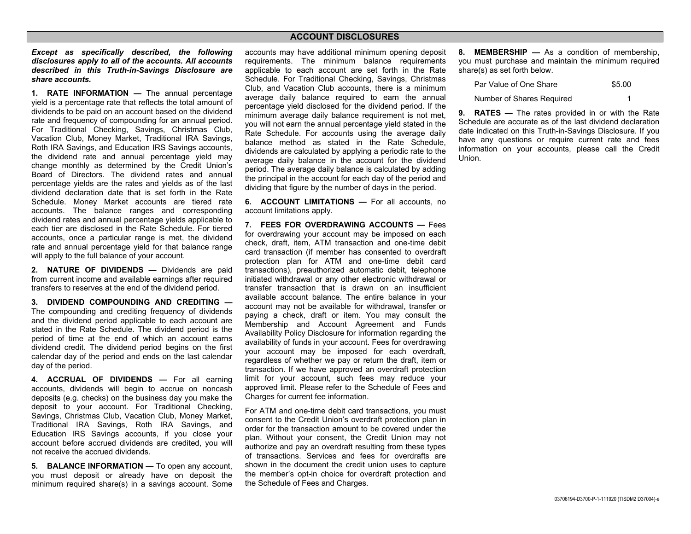## **ACCOUNT DISCLOSURES**

*Except as specifically described, the following disclosures apply to all of the accounts. All accounts described in this Truth-in-Savings Disclosure are share accounts.* 

**1. RATE INFORMATION —** The annual percentage yield is a percentage rate that reflects the total amount of dividends to be paid on an account based on the dividend rate and frequency of compounding for an annual period. For Traditional Checking, Savings, Christmas Club, Vacation Club, Money Market, Traditional IRA Savings, Roth IRA Savings, and Education IRS Savings accounts, the dividend rate and annual percentage yield may change monthly as determined by the Credit Union's Board of Directors. The dividend rates and annual percentage yields are the rates and yields as of the last dividend declaration date that is set forth in the Rate Schedule. Money Market accounts are tiered rate accounts. The balance ranges and corresponding dividend rates and annual percentage yields applicable to each tier are disclosed in the Rate Schedule. For tiered accounts, once a particular range is met, the dividend rate and annual percentage yield for that balance range will apply to the full balance of your account.

**2. NATURE OF DIVIDENDS —** Dividends are paid from current income and available earnings after required transfers to reserves at the end of the dividend period.

**3. DIVIDEND COMPOUNDING AND CREDITING —** The compounding and crediting frequency of dividends and the dividend period applicable to each account are stated in the Rate Schedule. The dividend period is the period of time at the end of which an account earns dividend credit. The dividend period begins on the first calendar day of the period and ends on the last calendar day of the period.

**4. ACCRUAL OF DIVIDENDS —** For all earning accounts, dividends will begin to accrue on noncash deposits (e.g. checks) on the business day you make the deposit to your account. For Traditional Checking, Savings, Christmas Club, Vacation Club, Money Market, Traditional IRA Savings, Roth IRA Savings, and Education IRS Savings accounts, if you close your account before accrued dividends are credited, you will not receive the accrued dividends.

**5. BALANCE INFORMATION —** To open any account, you must deposit or already have on deposit the minimum required share(s) in a savings account. Some accounts may have additional minimum opening deposit requirements. The minimum balance requirements applicable to each account are set forth in the Rate Schedule. For Traditional Checking, Savings, Christmas Club, and Vacation Club accounts, there is a minimum average daily balance required to earn the annual percentage yield disclosed for the dividend period. If the minimum average daily balance requirement is not met, you will not earn the annual percentage yield stated in the Rate Schedule. For accounts using the average daily balance method as stated in the Rate Schedule, dividends are calculated by applying a periodic rate to the average daily balance in the account for the dividend period. The average daily balance is calculated by adding the principal in the account for each day of the period and dividing that figure by the number of days in the period.

**6. ACCOUNT LIMITATIONS — For all accounts, no** account limitations apply.

**7. FEES FOR OVERDRAWING ACCOUNTS —** Fees for overdrawing your account may be imposed on each check, draft, item, ATM transaction and one-time debit card transaction (if member has consented to overdraft protection plan for ATM and one-time debit card transactions), preauthorized automatic debit, telephone initiated withdrawal or any other electronic withdrawal or transfer transaction that is drawn on an insufficient available account balance. The entire balance in your account may not be available for withdrawal, transfer or paying a check, draft or item. You may consult the Membership and Account Agreement and Funds Availability Policy Disclosure for information regarding the availability of funds in your account. Fees for overdrawing your account may be imposed for each overdraft, regardless of whether we pay or return the draft, item or transaction. If we have approved an overdraft protection limit for your account, such fees may reduce your approved limit. Please refer to the Schedule of Fees and Charges for current fee information.

For ATM and one-time debit card transactions, you must consent to the Credit Union's overdraft protection plan in order for the transaction amount to be covered under the plan. Without your consent, the Credit Union may not authorize and pay an overdraft resulting from these types of transactions. Services and fees for overdrafts are shown in the document the credit union uses to capture the member's opt-in choice for overdraft protection and the Schedule of Fees and Charges.

**8. MEMBERSHIP —** As a condition of membership, you must purchase and maintain the minimum required share(s) as set forth below.

| Par Value of One Share    | \$5.00 |
|---------------------------|--------|
| Number of Shares Required |        |

**9. RATES —** The rates provided in or with the Rate Schedule are accurate as of the last dividend declaration date indicated on this Truth-in-Savings Disclosure. If you have any questions or require current rate and fees information on your accounts, please call the Credit Union.